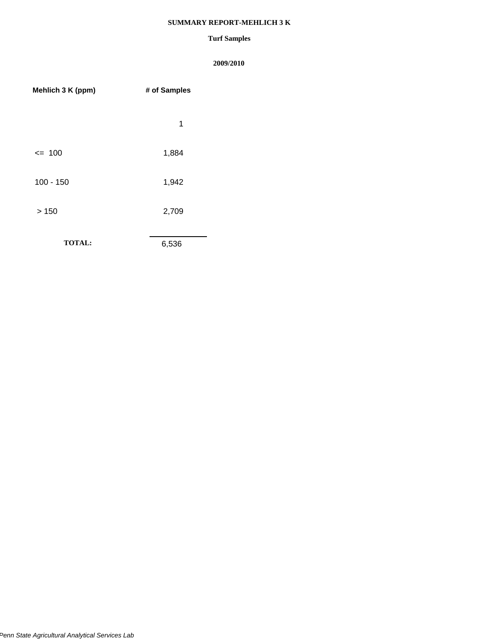# **SUMMARY REPORT-MEHLICH 3 K**

# **Turf Samples**

| Mehlich 3 K (ppm) | # of Samples |
|-------------------|--------------|
|                   | 1            |
| $= 100$           | 1,884        |
| $100 - 150$       | 1,942        |
| >150              | 2,709        |
| <b>TOTAL:</b>     | 6,536        |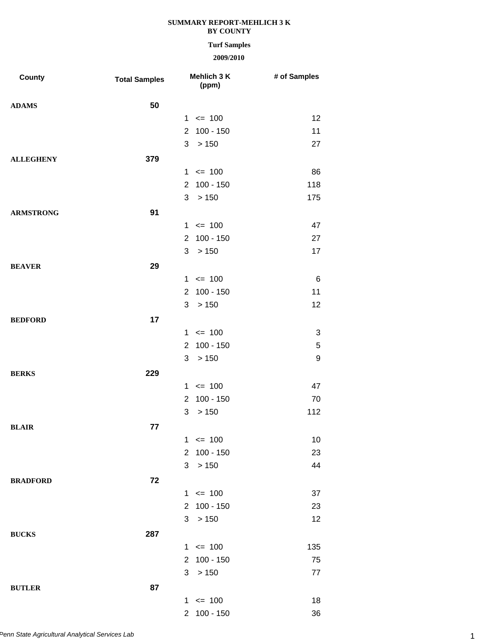# **Turf Samples**

| <b>County</b>    | <b>Total Samples</b> |                      | Mehlich 3 K<br>(ppm) | # of Samples |
|------------------|----------------------|----------------------|----------------------|--------------|
| <b>ADAMS</b>     | 50                   |                      |                      |              |
|                  |                      |                      | $1 \le 100$          | 12           |
|                  |                      | $\mathbf{2}^{\circ}$ | $100 - 150$          | 11           |
|                  |                      | 3                    | >150                 | 27           |
| <b>ALLEGHENY</b> | 379                  |                      |                      |              |
|                  |                      |                      | $1 \le 100$          | 86           |
|                  |                      | $\overline{2}$       | $100 - 150$          | 118          |
|                  |                      | 3                    | > 150                | 175          |
| <b>ARMSTRONG</b> | 91                   |                      |                      |              |
|                  |                      |                      | $1 \le 100$          | 47           |
|                  |                      | $\overline{2}$       | $100 - 150$          | 27           |
|                  |                      | 3                    | >150                 | 17           |
| <b>BEAVER</b>    | 29                   |                      |                      |              |
|                  |                      |                      | $1 \le 100$          | $\,6\,$      |
|                  |                      | $\overline{2}$       | $100 - 150$          | 11           |
|                  |                      | 3                    | > 150                | 12           |
| <b>BEDFORD</b>   | 17                   |                      |                      |              |
|                  |                      |                      | $1 \le 100$          | 3            |
|                  |                      | $\overline{2}$       | $100 - 150$          | 5            |
|                  |                      | 3                    | >150                 | 9            |
| <b>BERKS</b>     | 229                  |                      |                      |              |
|                  |                      |                      | $1 \le 100$          | 47           |
|                  |                      | $\overline{2}$       | $100 - 150$          | 70           |
|                  |                      | 3                    | > 150                | 112          |
| <b>BLAIR</b>     | 77                   |                      |                      |              |
|                  |                      |                      | $1 \le 100$          | 10           |
|                  |                      |                      | 2 100 - 150          | 23           |
|                  |                      | 3                    | > 150                | 44           |
| <b>BRADFORD</b>  | 72                   |                      |                      |              |
|                  |                      |                      | $1 \le 100$          | 37           |
|                  |                      |                      | 2 100 - 150          | 23           |
|                  |                      | 3                    | >150                 | 12           |
| <b>BUCKS</b>     | 287                  |                      |                      |              |
|                  |                      |                      | $1 \le 100$          | 135          |
|                  |                      |                      | 2 100 - 150          | 75           |
|                  |                      | 3                    | > 150                | 77           |
| <b>BUTLER</b>    | 87                   |                      |                      |              |
|                  |                      |                      | $1 \le 100$          | 18           |
|                  |                      |                      | 2 100 - 150          | 36           |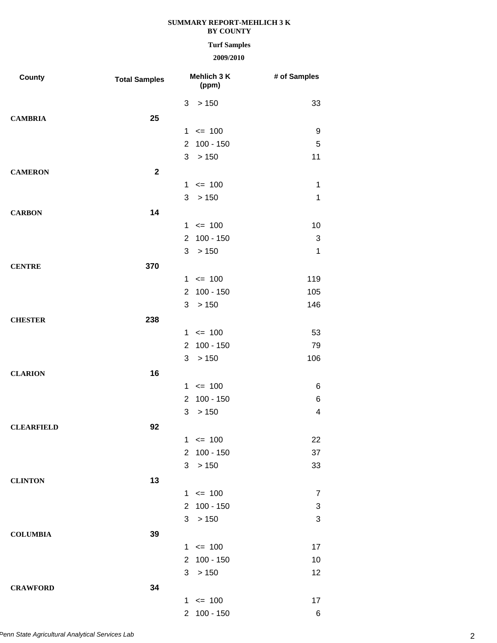# **Turf Samples**

| County            | <b>Total Samples</b> |                | Mehlich 3 K<br>(ppm) | # of Samples   |
|-------------------|----------------------|----------------|----------------------|----------------|
|                   |                      | 3              | > 150                | 33             |
| <b>CAMBRIA</b>    | 25                   |                |                      |                |
|                   |                      | 1              | $= 100$              | 9              |
|                   |                      | $\overline{2}$ | 100 - 150            | 5              |
|                   |                      | 3              | >150                 | 11             |
| <b>CAMERON</b>    | $\mathbf{2}$         |                |                      |                |
|                   |                      |                | $1 \le 100$          | 1              |
|                   |                      | 3              | >150                 | $\mathbf 1$    |
| <b>CARBON</b>     | 14                   |                |                      |                |
|                   |                      |                | $1 \le 100$          | 10             |
|                   |                      | $\mathbf{2}$   | $100 - 150$          | 3              |
|                   |                      | 3              | >150                 | $\mathbf{1}$   |
| <b>CENTRE</b>     | 370                  |                |                      |                |
|                   |                      |                | $1 \le 100$          | 119            |
|                   |                      |                | 2 100 - 150          | 105            |
|                   |                      | 3              | >150                 | 146            |
| <b>CHESTER</b>    | 238                  |                |                      |                |
|                   |                      |                | $1 \le 100$          | 53             |
|                   |                      | $\overline{2}$ | $100 - 150$          | 79             |
|                   |                      | 3              | >150                 | 106            |
| <b>CLARION</b>    | 16                   |                |                      |                |
|                   |                      |                | $1 \le 100$          | 6              |
|                   |                      | $\overline{2}$ | $100 - 150$          | 6              |
|                   |                      | 3              | > 150                | 4              |
| <b>CLEARFIELD</b> | 92                   |                |                      |                |
|                   |                      |                | $1 \le 100$          | 22             |
|                   |                      |                | 2 100 - 150          | 37             |
|                   |                      | 3              | >150                 | 33             |
| <b>CLINTON</b>    | 13                   |                |                      |                |
|                   |                      |                | $1 \le 100$          | $\overline{7}$ |
|                   |                      |                | 2 100 - 150          | 3              |
|                   |                      |                | 3 > 150              | 3              |
| <b>COLUMBIA</b>   | 39                   |                |                      |                |
|                   |                      |                | $1 \le 100$          | 17             |
|                   |                      |                | 2 100 - 150          | 10             |
|                   |                      | 3              | >150                 | 12             |
| <b>CRAWFORD</b>   | 34                   |                |                      |                |
|                   |                      |                | $1 \le 100$          | 17             |
|                   |                      |                | 2 100 - 150          | $\,6$          |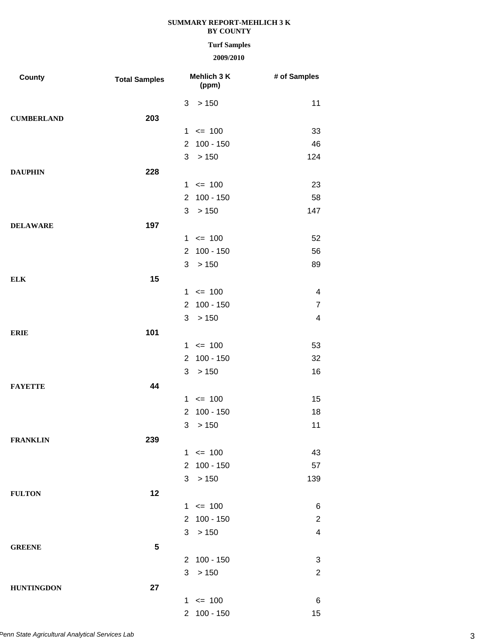### **Turf Samples**

| County            | <b>Total Samples</b> | Mehlich 3 K<br>(ppm)          | # of Samples             |
|-------------------|----------------------|-------------------------------|--------------------------|
|                   |                      | 3<br>> 150                    | 11                       |
| <b>CUMBERLAND</b> | 203                  |                               |                          |
|                   |                      | $= 100$<br>$\mathbf{1}$       | 33                       |
|                   |                      | 100 - 150<br>$\overline{2}$   | 46                       |
|                   |                      | 3<br>$>150$                   | 124                      |
| <b>DAUPHIN</b>    | 228                  |                               |                          |
|                   |                      | $1 \le 100$                   | 23                       |
|                   |                      | $100 - 150$<br>$\overline{2}$ | 58                       |
|                   |                      | 3<br>>150                     | 147                      |
| <b>DELAWARE</b>   | 197                  |                               |                          |
|                   |                      | $= 100$<br>1                  | 52                       |
|                   |                      | 100 - 150<br>$\overline{2}$   | 56                       |
|                   |                      | 3<br>>150                     | 89                       |
| <b>ELK</b>        | 15                   |                               |                          |
|                   |                      | $1 \le 100$                   | 4                        |
|                   |                      | $100 - 150$<br>$\overline{2}$ | $\overline{7}$           |
|                   |                      | 3<br>>150                     | $\overline{\mathcal{A}}$ |
| <b>ERIE</b>       | 101                  |                               |                          |
|                   |                      | $= 100$<br>1                  | 53                       |
|                   |                      | $100 - 150$<br>$\overline{2}$ | 32                       |
|                   |                      | 3<br>> 150                    | 16                       |
| <b>FAYETTE</b>    | 44                   |                               |                          |
|                   |                      | $1 \le 100$                   | 15                       |
|                   |                      | $100 - 150$<br>$\overline{2}$ | 18                       |
|                   |                      | 3<br>> 150                    | 11                       |
| <b>FRANKLIN</b>   | 239                  |                               |                          |
|                   |                      | $1 \le 100$                   | 43                       |
|                   |                      | $100 - 150$<br>$\overline{2}$ | 57                       |
|                   |                      | 3<br>>150                     | 139                      |
| <b>FULTON</b>     | 12                   |                               |                          |
|                   |                      | $1 \le 100$                   | 6                        |
|                   |                      | 2 100 - 150                   | $\overline{2}$           |
|                   |                      | 3<br>>150                     | $\overline{\mathcal{A}}$ |
| <b>GREENE</b>     | 5                    |                               |                          |
|                   |                      | 2 100 - 150                   | 3                        |
|                   |                      | 3<br>>150                     | $\overline{2}$           |
| <b>HUNTINGDON</b> | 27                   |                               |                          |
|                   |                      | $1 \le 100$                   | 6                        |
|                   |                      | 2 100 - 150                   | 15                       |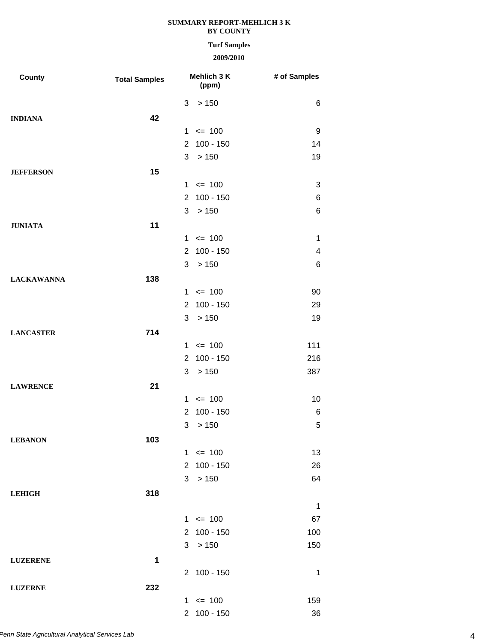### **Turf Samples**

| <b>County</b>     | <b>Total Samples</b> | Mehlich 3 K<br>(ppm)          | # of Samples |
|-------------------|----------------------|-------------------------------|--------------|
|                   |                      | > 150<br>3                    | 6            |
| <b>INDIANA</b>    | 42                   |                               |              |
|                   |                      | $= 100$<br>1.                 | 9            |
|                   |                      | 2 100 - 150                   | 14           |
|                   |                      | >150<br>3                     | 19           |
| <b>JEFFERSON</b>  | 15                   |                               |              |
|                   |                      | $1 \le 100$                   | 3            |
|                   |                      | $100 - 150$<br>$\overline{2}$ | 6            |
|                   |                      | 3 > 150                       | 6            |
| <b>JUNIATA</b>    | 11                   |                               |              |
|                   |                      | $1 \le 100$                   | 1            |
|                   |                      | 2 100 - 150                   | 4            |
|                   |                      | >150<br>3                     | 6            |
| <b>LACKAWANNA</b> | 138                  |                               |              |
|                   |                      | $1 \le 100$                   | 90           |
|                   |                      | $100 - 150$<br>$\overline{2}$ | 29           |
|                   |                      | >150<br>3 <sup>1</sup>        | 19           |
| <b>LANCASTER</b>  | 714                  |                               |              |
|                   |                      | $1 \le 100$                   | 111          |
|                   |                      | 2 100 - 150                   | 216          |
|                   |                      | 3<br>>150                     | 387          |
| <b>LAWRENCE</b>   | 21                   |                               |              |
|                   |                      | $1 \le 100$                   | 10           |
|                   |                      | $100 - 150$<br>$\overline{2}$ | 6            |
|                   |                      | >150<br>3                     | 5            |
| <b>LEBANON</b>    | 103                  |                               |              |
|                   |                      | $1 \le 100$                   | 13           |
|                   |                      | $100 - 150$<br>$\overline{2}$ | 26           |
|                   |                      | >150<br>3                     | 64           |
| <b>LEHIGH</b>     | 318                  |                               |              |
|                   |                      |                               | 1            |
|                   |                      | $1 \le 100$                   | 67           |
|                   |                      | 2 100 - 150                   | 100          |
|                   |                      | >150<br>3                     | 150          |
| <b>LUZERENE</b>   | 1                    |                               |              |
|                   |                      | 2 100 - 150                   | 1            |
| <b>LUZERNE</b>    | 232                  |                               |              |
|                   |                      | $1 \le 100$                   | 159          |
|                   |                      | 2 100 - 150                   | 36           |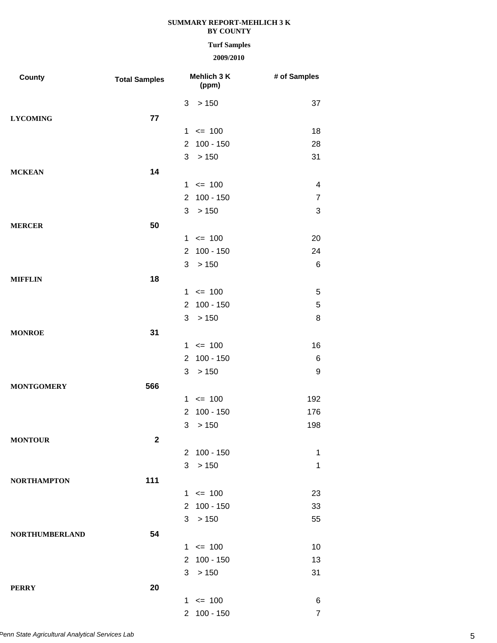### **Turf Samples**

| County                | <b>Total Samples</b> |                | Mehlich 3 K<br>(ppm) | # of Samples   |
|-----------------------|----------------------|----------------|----------------------|----------------|
|                       |                      | 3              | > 150                | 37             |
| <b>LYCOMING</b>       | 77                   |                |                      |                |
|                       |                      |                | $1 \le 100$          | 18             |
|                       |                      | $\overline{2}$ | $100 - 150$          | 28             |
|                       |                      | 3              | > 150                | 31             |
| <b>MCKEAN</b>         | 14                   |                |                      |                |
|                       |                      |                | $1 \le 100$          | 4              |
|                       |                      | $\overline{2}$ | $100 - 150$          | $\overline{7}$ |
|                       |                      | 3              | >150                 | 3              |
| <b>MERCER</b>         | 50                   |                |                      |                |
|                       |                      |                | $1 \le 100$          | 20             |
|                       |                      | $\overline{2}$ | $100 - 150$          | 24             |
|                       |                      | 3              | >150                 | 6              |
| <b>MIFFLIN</b>        | 18                   |                |                      |                |
|                       |                      |                | $1 \le 100$          | 5              |
|                       |                      | $\overline{2}$ | $100 - 150$          | 5              |
|                       |                      | 3              | >150                 | 8              |
| <b>MONROE</b>         | 31                   |                |                      |                |
|                       |                      |                | $1 \le 100$          | 16             |
|                       |                      | $\overline{2}$ | $100 - 150$          | 6              |
|                       |                      | 3              | > 150                | 9              |
| <b>MONTGOMERY</b>     | 566                  |                |                      |                |
|                       |                      |                | $1 \le 100$          | 192            |
|                       |                      | $\overline{2}$ | $100 - 150$          | 176            |
|                       |                      | 3              | > 150                | 198            |
| <b>MONTOUR</b>        | $\mathbf 2$          |                |                      |                |
|                       |                      |                | 2 100 - 150          | 1              |
|                       |                      | 3              | >150                 | 1              |
| <b>NORTHAMPTON</b>    | 111                  |                |                      |                |
|                       |                      |                | $1 \le 100$          | 23             |
|                       |                      |                | 2 100 - 150          | 33             |
|                       |                      |                | 3 > 150              | 55             |
| <b>NORTHUMBERLAND</b> | 54                   |                |                      |                |
|                       |                      |                | $1 \le 100$          | 10             |
|                       |                      |                | 2 100 - 150          | 13             |
|                       |                      | 3              | >150                 | 31             |
| <b>PERRY</b>          | 20                   |                |                      |                |
|                       |                      |                | $1 \le 100$          | 6              |
|                       |                      |                | 2 100 - 150          | $\overline{7}$ |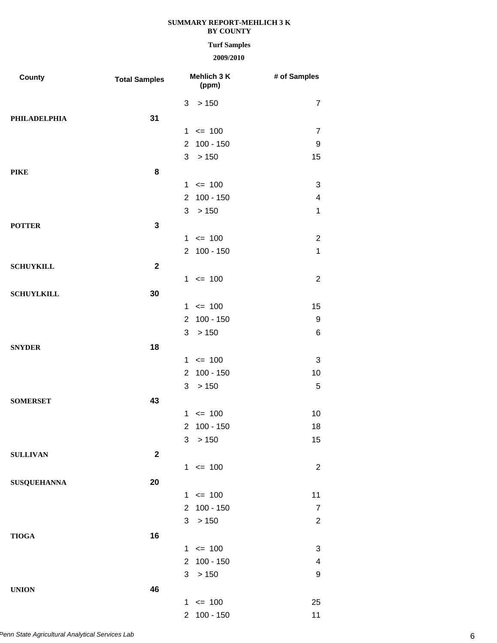### **Turf Samples**

| County              | <b>Total Samples</b> | Mehlich 3 K<br>(ppm)          | # of Samples             |
|---------------------|----------------------|-------------------------------|--------------------------|
|                     |                      | > 150<br>3                    | $\overline{7}$           |
| <b>PHILADELPHIA</b> | 31                   |                               |                          |
|                     |                      | $1 \le 100$                   | $\overline{7}$           |
|                     |                      | 2 100 - 150                   | 9                        |
|                     |                      | 3<br>>150                     | 15                       |
| <b>PIKE</b>         | 8                    |                               |                          |
|                     |                      | $1 \le 100$                   | 3                        |
|                     |                      | $100 - 150$<br>$\overline{2}$ | $\overline{\mathcal{A}}$ |
|                     |                      | 3<br>>150                     | $\mathbf 1$              |
| <b>POTTER</b>       | $\mathbf{3}$         |                               |                          |
|                     |                      | $1 \le 100$                   | $\overline{c}$           |
|                     |                      | 2 100 - 150                   | $\mathbf 1$              |
| <b>SCHUYKILL</b>    | $\overline{2}$       |                               |                          |
|                     |                      | $1 \le 100$                   | $\overline{2}$           |
| <b>SCHUYLKILL</b>   | 30                   |                               |                          |
|                     |                      | $1 \le 100$                   | 15                       |
|                     |                      | 2 100 - 150                   | 9                        |
|                     |                      | 3<br>>150                     | 6                        |
| <b>SNYDER</b>       | 18                   |                               |                          |
|                     |                      | $1 \le 100$                   | 3                        |
|                     |                      | $100 - 150$<br>$\overline{2}$ | 10                       |
|                     |                      | >150<br>3                     | 5                        |
| <b>SOMERSET</b>     | 43                   |                               |                          |
|                     |                      | $1 \le 100$                   | 10                       |
|                     |                      | 2 100 - 150                   | 18                       |
|                     |                      | > 150<br>3                    | 15                       |
| <b>SULLIVAN</b>     | $\boldsymbol{2}$     |                               |                          |
|                     |                      | $1 \le 100$                   | $\overline{c}$           |
| <b>SUSQUEHANNA</b>  | 20                   |                               |                          |
|                     |                      | $1 \le 100$                   | 11                       |
|                     |                      | 2 100 - 150                   | $\overline{7}$           |
|                     |                      | 3 > 150                       | $\overline{2}$           |
| <b>TIOGA</b>        | 16                   |                               |                          |
|                     |                      | $1 \le 100$                   | 3                        |
|                     |                      | 2 100 - 150                   | 4                        |
|                     |                      | > 150<br>3                    | 9                        |
| <b>UNION</b>        | 46                   |                               |                          |
|                     |                      | $1 \le 100$                   | 25                       |
|                     |                      | 2 100 - 150                   | 11                       |